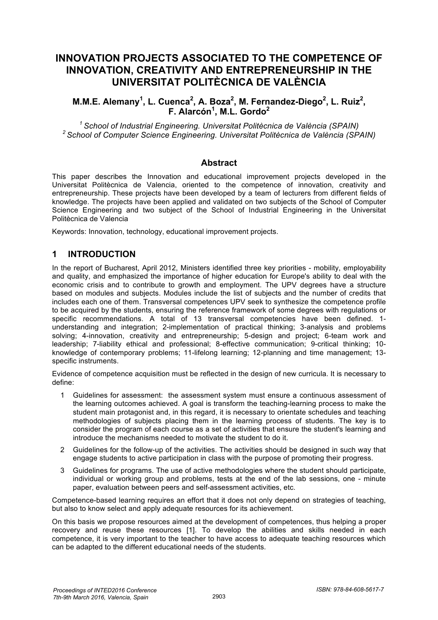# **INNOVATION PROJECTS ASSOCIATED TO THE COMPETENCE OF INNOVATION, CREATIVITY AND ENTREPRENEURSHIP IN THE UNIVERSITAT POLITÈCNICA DE VALÈNCIA**

# **M.M.E. Alemany<sup>1</sup>, L. Cuenca<sup>2</sup>, A. Boza<sup>2</sup>, M. Fernandez-Diego<sup>2</sup>, L. Ruiz<sup>2</sup>, F. Alarcón<sup>1</sup> , M.L. Gordo<sup>2</sup>**

*1 School of Industrial Engineering. Universitat Politècnica de València (SPAIN) 2 School of Computer Science Engineering. Universitat Politècnica de València (SPAIN)*

#### **Abstract**

This paper describes the Innovation and educational improvement projects developed in the Universitat Politècnica de Valencia, oriented to the competence of innovation, creativity and entrepreneurship. These projects have been developed by a team of lecturers from different fields of knowledge. The projects have been applied and validated on two subjects of the School of Computer Science Engineering and two subject of the School of Industrial Engineering in the Universitat Politècnica de Valencia

Keywords: Innovation, technology, educational improvement projects.

# **1 INTRODUCTION**

In the report of Bucharest, April 2012, Ministers identified three key priorities - mobility, employability and quality, and emphasized the importance of higher education for Europe's ability to deal with the economic crisis and to contribute to growth and employment. The UPV degrees have a structure based on modules and subjects. Modules include the list of subjects and the number of credits that includes each one of them. Transversal competences UPV seek to synthesize the competence profile to be acquired by the students, ensuring the reference framework of some degrees with regulations or specific recommendations. A total of 13 transversal competencies have been defined. 1 understanding and integration; 2-implementation of practical thinking; 3-analysis and problems solving; 4-innovation, creativity and entrepreneurship; 5-design and project; 6-team work and leadership; 7-liability ethical and professional; 8-effective communication; 9-critical thinking; 10 knowledge of contemporary problems; 11-lifelong learning; 12-planning and time management; 13 specific instruments.

Evidence of competence acquisition must be reflected in the design of new curricula. It is necessary to define:

- 1 Guidelines for assessment: the assessment system must ensure a continuous assessment of the learning outcomes achieved. A goal is transform the teaching-learning process to make the student main protagonist and, in this regard, it is necessary to orientate schedules and teaching methodologies of subjects placing them in the learning process of students. The key is to consider the program of each course as a set of activities that ensure the student's learning and introduce the mechanisms needed to motivate the student to do it.
- 2 Guidelines for the follow-up of the activities. The activities should be designed in such way that engage students to active participation in class with the purpose of promoting their progress.
- 3 Guidelines for programs. The use of active methodologies where the student should participate, individual or working group and problems, tests at the end of the lab sessions, one - minute paper, evaluation between peers and self-assessment activities, etc.

Competence-based learning requires an effort that it does not only depend on strategies of teaching, but also to know select and apply adequate resources for its achievement.

On this basis we propose resources aimed at the development of competences, thus helping a proper recovery and reuse these resources [1]. To develop the abilities and skills needed in each competence, it is very important to the teacher to have access to adequate teaching resources which can be adapted to the different educational needs of the students.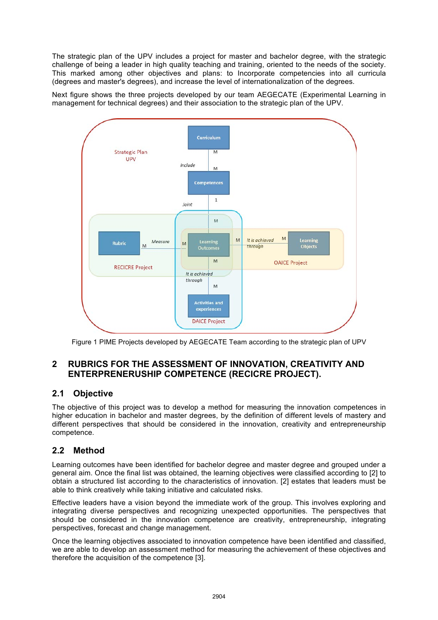The strategic plan of the UPV includes a project for master and bachelor degree, with the strategic challenge of being a leader in high quality teaching and training, oriented to the needs of the society. This marked among other objectives and plans: to Incorporate competencies into all curricula (degrees and master's degrees), and increase the level of internationalization of the degrees.

Next figure shows the three projects developed by our team AEGECATE (Experimental Learning in management for technical degrees) and their association to the strategic plan of the UPV.



Figure 1 PIME Projects developed by AEGECATE Team according to the strategic plan of UPV

# **2 RUBRICS FOR THE ASSESSMENT OF INNOVATION, CREATIVITY AND ENTERPRENERUSHIP COMPETENCE (RECICRE PROJECT).**

# **2.1 Objective**

The objective of this project was to develop a method for measuring the innovation competences in higher education in bachelor and master degrees, by the definition of different levels of mastery and different perspectives that should be considered in the innovation, creativity and entrepreneurship competence.

# **2.2 Method**

Learning outcomes have been identified for bachelor degree and master degree and grouped under a general aim. Once the final list was obtained, the learning objectives were classified according to [2] to obtain a structured list according to the characteristics of innovation. [2] estates that leaders must be able to think creatively while taking initiative and calculated risks.

Effective leaders have a vision beyond the immediate work of the group. This involves exploring and integrating diverse perspectives and recognizing unexpected opportunities. The perspectives that should be considered in the innovation competence are creativity, entrepreneurship, integrating perspectives, forecast and change management.

Once the learning objectives associated to innovation competence have been identified and classified, we are able to develop an assessment method for measuring the achievement of these objectives and therefore the acquisition of the competence [3].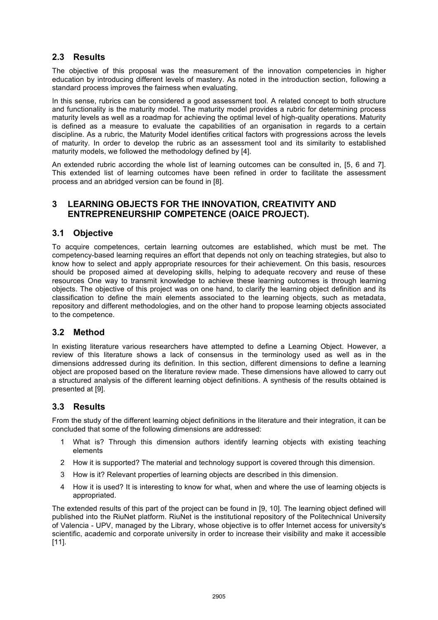# **2.3 Results**

The objective of this proposal was the measurement of the innovation competencies in higher education by introducing different levels of mastery. As noted in the introduction section, following a standard process improves the fairness when evaluating.

In this sense, rubrics can be considered a good assessment tool. A related concept to both structure and functionality is the maturity model. The maturity model provides a rubric for determining process maturity levels as well as a roadmap for achieving the optimal level of high-quality operations. Maturity is defined as a measure to evaluate the capabilities of an organisation in regards to a certain discipline. As a rubric, the Maturity Model identifies critical factors with progressions across the levels of maturity. In order to develop the rubric as an assessment tool and its similarity to established maturity models, we followed the methodology defined by [4].

An extended rubric according the whole list of learning outcomes can be consulted in, [5, 6 and 7]. This extended list of learning outcomes have been refined in order to facilitate the assessment process and an abridged version can be found in [8].

## **3 LEARNING OBJECTS FOR THE INNOVATION, CREATIVITY AND ENTREPRENEURSHIP COMPETENCE (OAICE PROJECT).**

#### **3.1 Objective**

To acquire competences, certain learning outcomes are established, which must be met. The competency-based learning requires an effort that depends not only on teaching strategies, but also to know how to select and apply appropriate resources for their achievement. On this basis, resources should be proposed aimed at developing skills, helping to adequate recovery and reuse of these resources One way to transmit knowledge to achieve these learning outcomes is through learning objects. The objective of this project was on one hand, to clarify the learning object definition and its classification to define the main elements associated to the learning objects, such as metadata, repository and different methodologies, and on the other hand to propose learning objects associated to the competence.

#### **3.2 Method**

In existing literature various researchers have attempted to define a Learning Object. However, a review of this literature shows a lack of consensus in the terminology used as well as in the dimensions addressed during its definition. In this section, different dimensions to define a learning object are proposed based on the literature review made. These dimensions have allowed to carry out a structured analysis of the different learning object definitions. A synthesis of the results obtained is presented at [9].

# **3.3 Results**

From the study of the different learning object definitions in the literature and their integration, it can be concluded that some of the following dimensions are addressed:

- 1 What is? Through this dimension authors identify learning objects with existing teaching elements
- 2 How it is supported? The material and technology support is covered through this dimension.
- 3 How is it? Relevant properties of learning objects are described in this dimension.
- 4 How it is used? It is interesting to know for what, when and where the use of learning objects is appropriated.

The extended results of this part of the project can be found in [9, 10]. The learning object defined will published into the RiuNet platform. RiuNet is the institutional repository of the Politechnical University of Valencia - UPV, managed by the Library, whose objective is to offer Internet access for university's scientific, academic and corporate university in order to increase their visibility and make it accessible [11].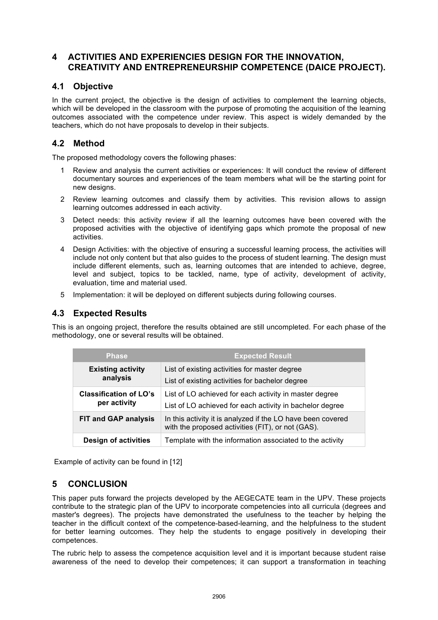## **4 ACTIVITIES AND EXPERIENCIES DESIGN FOR THE INNOVATION, CREATIVITY AND ENTREPRENEURSHIP COMPETENCE (DAICE PROJECT).**

## **4.1 Objective**

In the current project, the objective is the design of activities to complement the learning objects, which will be developed in the classroom with the purpose of promoting the acquisition of the learning outcomes associated with the competence under review. This aspect is widely demanded by the teachers, which do not have proposals to develop in their subjects.

## **4.2 Method**

The proposed methodology covers the following phases:

- 1 Review and analysis the current activities or experiences: It will conduct the review of different documentary sources and experiences of the team members what will be the starting point for new designs.
- 2 Review learning outcomes and classify them by activities. This revision allows to assign learning outcomes addressed in each activity.
- 3 Detect needs: this activity review if all the learning outcomes have been covered with the proposed activities with the objective of identifying gaps which promote the proposal of new activities.
- 4 Design Activities: with the objective of ensuring a successful learning process, the activities will include not only content but that also guides to the process of student learning. The design must include different elements, such as, learning outcomes that are intended to achieve, degree, level and subject, topics to be tackled, name, type of activity, development of activity, evaluation, time and material used.
- 5 Implementation: it will be deployed on different subjects during following courses.

# **4.3 Expected Results**

This is an ongoing project, therefore the results obtained are still uncompleted. For each phase of the methodology, one or several results will be obtained.

| <b>Phase</b>                                  | <b>Expected Result</b>                                                                                             |
|-----------------------------------------------|--------------------------------------------------------------------------------------------------------------------|
| <b>Existing activity</b><br>analysis          | List of existing activities for master degree<br>List of existing activities for bachelor degree                   |
| <b>Classification of LO's</b><br>per activity | List of LO achieved for each activity in master degree<br>List of LO achieved for each activity in bachelor degree |
| <b>FIT and GAP analysis</b>                   | In this activity it is analyzed if the LO have been covered<br>with the proposed activities (FIT), or not (GAS).   |
| <b>Design of activities</b>                   | Template with the information associated to the activity                                                           |

Example of activity can be found in [12]

# **5 CONCLUSION**

This paper puts forward the projects developed by the AEGECATE team in the UPV. These projects contribute to the strategic plan of the UPV to incorporate competencies into all curricula (degrees and master's degrees). The projects have demonstrated the usefulness to the teacher by helping the teacher in the difficult context of the competence-based-learning, and the helpfulness to the student for better learning outcomes. They help the students to engage positively in developing their competences.

The rubric help to assess the competence acquisition level and it is important because student raise awareness of the need to develop their competences; it can support a transformation in teaching